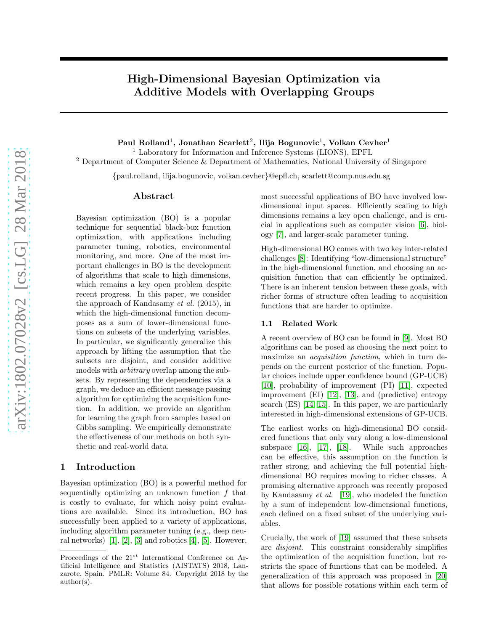## High-Dimensional Bayesian Optimization via Additive Models with Overlapping Groups

Paul Rolland $^1$ , Jonathan Scarlett $^2$ , Ilija Bogunovic $^1$ , Volkan Cevher $^1$ 

<sup>1</sup> Laboratory for Information and Inference Systems (LIONS), EPFL

<sup>2</sup> Department of Computer Science & Department of Mathematics, National University of Singapore

{paul.rolland, ilija.bogunovic, volkan.cevher}@epfl.ch, scarlett@comp.nus.edu.sg

#### Abstract

Bayesian optimization (BO) is a popular technique for sequential black-box function optimization, with applications including parameter tuning, robotics, environmental monitoring, and more. One of the most important challenges in BO is the development of algorithms that scale to high dimensions, which remains a key open problem despite recent progress. In this paper, we consider the approach of Kandasamy *et al.* (2015), in which the high-dimensional function decomposes as a sum of lower-dimensional functions on subsets of the underlying variables. In particular, we significantly generalize this approach by lifting the assumption that the subsets are disjoint, and consider additive models with *arbitrary* overlap among the subsets. By representing the dependencies via a graph, we deduce an efficient message passing algorithm for optimizing the acquisition function. In addition, we provide an algorithm for learning the graph from samples based on Gibbs sampling. We empirically demonstrate the effectiveness of our methods on both synthetic and real-world data.

## 1 Introduction

Bayesian optimization (BO) is a powerful method for sequentially optimizing an unknown function  $f$  that is costly to evaluate, for which noisy point evaluations are available. Since its introduction, BO has successfully been applied to a variety of applications, including algorithm parameter tuning (e.g., deep neural networks)  $[1], [2], [3]$  $[1], [2], [3]$  $[1], [2], [3]$  $[1], [2], [3]$  and robotics  $[4], [5]$  $[4], [5]$ . However, most successful applications of BO have involved lowdimensional input spaces. Efficiently scaling to high dimensions remains a key open challenge, and is crucial in applications such as computer vision [\[6\]](#page-8-5), biology [\[7\]](#page-8-6), and larger-scale parameter tuning.

High-dimensional BO comes with two key inter-related challenges [\[8\]](#page-8-7): Identifying "low-dimensional structure" in the high-dimensional function, and choosing an acquisition function that can efficiently be optimized. There is an inherent tension between these goals, with richer forms of structure often leading to acquisition functions that are harder to optimize.

#### 1.1 Related Work

A recent overview of BO can be found in [\[9\]](#page-8-8). Most BO algorithms can be posed as choosing the next point to maximize an *acquisition function*, which in turn depends on the current posterior of the function. Popular choices include upper confidence bound (GP-UCB) [\[10\]](#page-8-9), probability of improvement (PI) [\[11\]](#page-8-10), expected improvement (EI) [\[12\]](#page-8-11), [13], and (predictive) entropy search (ES) [\[14,](#page-8-12) [15\]](#page-8-13). In this paper, we are particularly interested in high-dimensional extensions of GP-UCB.

The earliest works on high-dimensional BO considered functions that only vary along a low-dimensional subspace [\[16\]](#page-8-14), [\[17\]](#page-8-15), [\[18\]](#page-8-16). While such approaches can be effective, this assumption on the function is rather strong, and achieving the full potential highdimensional BO requires moving to richer classes. A promising alternative approach was recently proposed by Kandasamy *et al.* [19], who modeled the function by a sum of independent low-dimensional functions, each defined on a fixed subset of the underlying variables.

Crucially, the work of [19] assumed that these subsets are *disjoint*. This constraint considerably simplifies the optimization of the acquisition function, but restricts the space of functions that can be modeled. A generalization of this approach was proposed in [\[20\]](#page-9-0) that allows for possible rotations within each term of

Proceedings of the  $21^{st}$  International Conference on Artificial Intelligence and Statistics (AISTATS) 2018, Lanzarote, Spain. PMLR: Volume 84. Copyright 2018 by the author(s).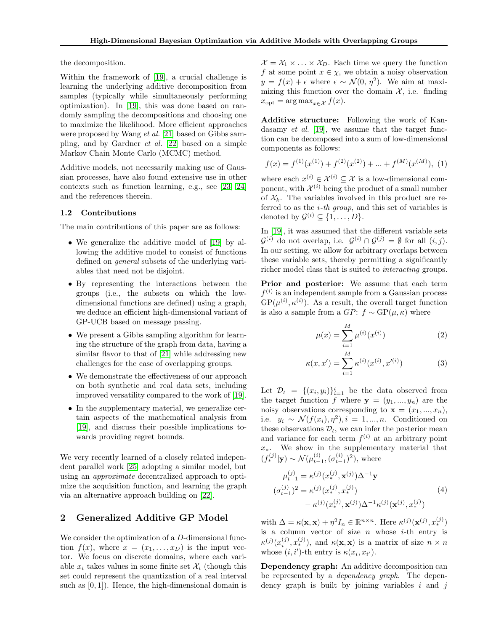the decomposition.

Within the framework of [19], a crucial challenge is learning the underlying additive decomposition from samples (typically while simultaneously performing optimization). In [19], this was done based on randomly sampling the decompositions and choosing one to maximize the likelihood. More efficient approaches were proposed by Wang *et al.* [\[21\]](#page-9-1) based on Gibbs sampling, and by Gardner *et al.* [\[22\]](#page-9-2) based on a simple Markov Chain Monte Carlo (MCMC) method.

Additive models, not necessarily making use of Gaussian processes, have also found extensive use in other contexts such as function learning, e.g., see [\[23,](#page-9-3) [24\]](#page-9-4) and the references therein.

#### 1.2 Contributions

The main contributions of this paper are as follows:

- We generalize the additive model of [19] by allowing the additive model to consist of functions defined on *general* subsets of the underlying variables that need not be disjoint.
- By representing the interactions between the groups (i.e., the subsets on which the lowdimensional functions are defined) using a graph, we deduce an efficient high-dimensional variant of GP-UCB based on message passing.
- We present a Gibbs sampling algorithm for learning the structure of the graph from data, having a similar flavor to that of [\[21\]](#page-9-1) while addressing new challenges for the case of overlapping groups.
- We demonstrate the effectiveness of our approach on both synthetic and real data sets, including improved versatility compared to the work of [19].
- In the supplementary material, we generalize certain aspects of the mathematical analysis from [19], and discuss their possible implications towards providing regret bounds.

We very recently learned of a closely related independent parallel work [\[25\]](#page-9-5) adopting a similar model, but using an *approximate* decentralized approach to optimize the acquisition function, and learning the graph via an alternative approach building on [\[22\]](#page-9-2).

## 2 Generalized Additive GP Model

We consider the optimization of a D-dimensional function  $f(x)$ , where  $x = (x_1, \ldots, x_D)$  is the input vector. We focus on discrete domains, where each variable  $x_i$  takes values in some finite set  $\mathcal{X}_i$  (though this set could represent the quantization of a real interval such as  $[0, 1]$ . Hence, the high-dimensional domain is  $\mathcal{X} = \mathcal{X}_1 \times \ldots \times \mathcal{X}_D$ . Each time we query the function f at some point  $x \in \chi$ , we obtain a noisy observation  $y = f(x) + \epsilon$  where  $\epsilon \sim \mathcal{N}(0, \eta^2)$ . We aim at maximizing this function over the domain  $\mathcal{X}$ , i.e. finding  $x_{\text{opt}} = \arg \max_{x \in \mathcal{X}} f(x).$ 

Additive structure: Following the work of Kandasamy *et al.* [19], we assume that the target function can be decomposed into a sum of low-dimensional components as follows:

<span id="page-1-1"></span>
$$
f(x) = f^{(1)}(x^{(1)}) + f^{(2)}(x^{(2)}) + \dots + f^{(M)}(x^{(M)}),
$$
 (1)

where each  $x^{(i)} \in \mathcal{X}^{(i)} \subseteq \mathcal{X}$  is a low-dimensional component, with  $\mathcal{X}^{(i)}$  being the product of a small number of  $\mathcal{X}_k$ . The variables involved in this product are referred to as the i*-th group*, and this set of variables is denoted by  $\mathcal{G}^{(i)} \subseteq \{1, \ldots, D\}.$ 

In [19], it was assumed that the different variable sets  $\mathcal{G}^{(i)}$  do not overlap, i.e.  $\mathcal{G}^{(i)} \cap \mathcal{G}^{(j)} = \emptyset$  for all  $(i, j)$ . In our setting, we allow for arbitrary overlaps between these variable sets, thereby permitting a significantly richer model class that is suited to *interacting* groups.

Prior and posterior: We assume that each term  $f^{(i)}$  is an independent sample from a Gaussian process  $GP(\mu^{(i)}, \kappa^{(i)})$ . As a result, the overall target function is also a sample from a  $GP: f \sim GP(\mu, \kappa)$  where

$$
\mu(x) = \sum_{i=1}^{M} \mu^{(i)}(x^{(i)})
$$
\n(2)

$$
\kappa(x, x') = \sum_{i=1}^{M} \kappa^{(i)}(x^{(i)}, x'^{(i)})
$$
 (3)

Let  $\mathcal{D}_t = \{(x_i, y_i)\}_{i=1}^t$  be the data observed from the target function f where  $y = (y_1, ..., y_n)$  are the noisy observations corresponding to  $\mathbf{x} = (x_1, ..., x_n)$ , i.e.  $y_i \sim \mathcal{N}(f(x_i), \eta^2), i = 1, ..., n$ . Conditioned on these observations  $\mathcal{D}_t$ , we can infer the posterior mean and variance for each term  $f^{(i)}$  at an arbitrary point  $x_*$ . We show in the supplementary material that  $(f_*^{(j)}|\mathbf{y}) \sim \mathcal{N}(\mu_{t-1}^{(i)}, (\sigma_{t-1}^{(i)})^2)$ , where

<span id="page-1-0"></span>
$$
\mu_{t-1}^{(j)} = \kappa^{(j)}(x_*^{(j)}, \mathbf{x}^{(j)})\Delta^{-1}\mathbf{y}
$$
  
\n
$$
(\sigma_{t-1}^{(j)})^2 = \kappa^{(j)}(x_*^{(j)}, x_*^{(j)})
$$
  
\n
$$
-\kappa^{(j)}(x_*^{(j)}, \mathbf{x}^{(j)})\Delta^{-1}\kappa^{(j)}(\mathbf{x}^{(j)}, x_*^{(j)})
$$
\n(4)

with  $\Delta = \kappa(\mathbf{x}, \mathbf{x}) + \eta^2 I_n \in \mathbb{R}^{n \times n}$ . Here  $\kappa^{(j)}(\mathbf{x}^{(j)}, x_*^{(j)})$ is a column vector of size  $n$  whose  $i$ -th entry is  $\kappa^{(j)}(x_i^{(j)},x_*^{(j)})$ , and  $\kappa(\mathbf{x},\mathbf{x})$  is a matrix of size  $n \times n$ whose  $(i, i')$ -th entry is  $\kappa(x_i, x_{i'})$ .

Dependency graph: An additive decomposition can be represented by a *dependency graph*. The dependency graph is built by joining variables  $i$  and  $j$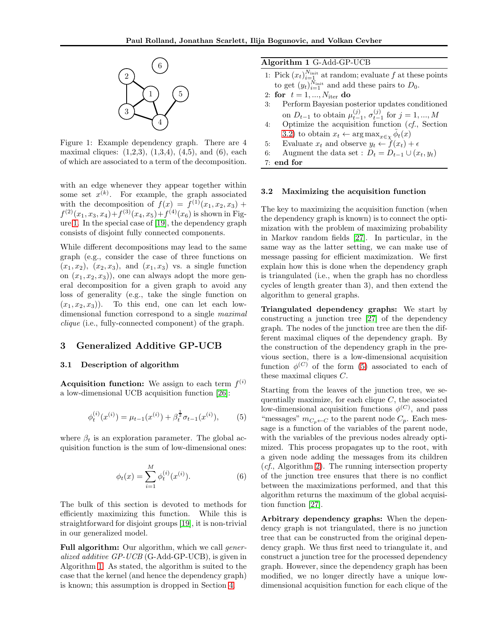<span id="page-2-0"></span>

Figure 1: Example dependency graph. There are 4 maximal cliques:  $(1,2,3), (1,3,4), (4,5),$  and  $(6),$  each of which are associated to a term of the decomposition.

with an edge whenever they appear together within some set  $x^{(k)}$ . For example, the graph associated with the decomposition of  $f(x) = f^{(1)}(x_1, x_2, x_3) +$  $f^{(2)}(x_1, x_3, x_4) + f^{(3)}(x_4, x_5) + f^{(4)}(x_6)$  is shown in Figure [1.](#page-2-0) In the special case of [19], the dependency graph consists of disjoint fully connected components.

While different decompositions may lead to the same graph (e.g., consider the case of three functions on  $(x_1, x_2)$ ,  $(x_2, x_3)$ , and  $(x_1, x_3)$  vs. a single function on  $(x_1, x_2, x_3)$ , one can always adopt the more general decomposition for a given graph to avoid any loss of generality (e.g., take the single function on  $(x_1, x_2, x_3)$ . To this end, one can let each lowdimensional function correspond to a single *maximal clique* (i.e., fully-connected component) of the graph.

## 3 Generalized Additive GP-UCB

#### 3.1 Description of algorithm

Acquisition function: We assign to each term  $f^{(i)}$ a low-dimensional UCB acquisition function [\[26\]](#page-9-6):

<span id="page-2-3"></span>
$$
\phi_t^{(i)}(x^{(i)}) = \mu_{t-1}(x^{(i)}) + \beta_t^{\frac{1}{2}} \sigma_{t-1}(x^{(i)}), \quad (5)
$$

where  $\beta_t$  is an exploration parameter. The global acquisition function is the sum of low-dimensional ones:

<span id="page-2-4"></span>
$$
\phi_t(x) = \sum_{i=1}^{M} \phi_t^{(i)}(x^{(i)}).
$$
\n(6)

The bulk of this section is devoted to methods for efficiently maximizing this function. While this is straightforward for disjoint groups [19], it is non-trivial in our generalized model.

Full algorithm: Our algorithm, which we call *generalized additive GP-UCB* (G-Add-GP-UCB), is given in Algorithm [1.](#page-2-1) As stated, the algorithm is suited to the case that the kernel (and hence the dependency graph) is known; this assumption is dropped in Section [4.](#page-3-0)

#### <span id="page-2-1"></span>Algorithm 1 G-Add-GP-UCB

- 1: Pick  $(x_t)_{i=1}^{N_{\text{init}}}$  at random; evaluate f at these points to get  $(y_t)_{i=1}^{N_{\text{init}}}$  and add these pairs to  $D_0$ .
- 2: for  $t = 1, ..., N_{\text{iter}}$  do
- 3: Perform Bayesian posterior updates conditioned on  $D_{t-1}$  to obtain  $\mu_{t-1}^{(j)}$ ,  $\sigma_{t-1}^{(j)}$  for  $j = 1, ..., M$
- 4: Optimize the acquisition function (*cf.*, Section [3.2\)](#page-2-2) to obtain  $x_t \leftarrow \arg \max_{x \in \chi} \tilde{\phi}_t(x)$
- 5: Evaluate  $x_t$  and observe  $y_t \leftarrow f(x_t) + \epsilon$
- 6: Augment the data set :  $D_t = D_{t-1} \cup (x_t, y_t)$
- 7: end for

#### <span id="page-2-2"></span>3.2 Maximizing the acquisition function

The key to maximizing the acquisition function (when the dependency graph is known) is to connect the optimization with the problem of maximizing probability in Markov random fields [\[27\]](#page-9-7). In particular, in the same way as the latter setting, we can make use of message passing for efficient maximization. We first explain how this is done when the dependency graph is triangulated (i.e., when the graph has no chordless cycles of length greater than 3), and then extend the algorithm to general graphs.

Triangulated dependency graphs: We start by constructing a junction tree [\[27\]](#page-9-7) of the dependency graph. The nodes of the junction tree are then the different maximal cliques of the dependency graph. By the construction of the dependency graph in the previous section, there is a low-dimensional acquisition function  $\phi^{(C)}$  of the form [\(5\)](#page-2-3) associated to each of these maximal cliques C.

Starting from the leaves of the junction tree, we sequentially maximize, for each clique  $C$ , the associated low-dimensional acquisition functions  $\phi^{(C)}$ , and pass "messages"  $m_{C_p \leftarrow C}$  to the parent node  $C_p$ . Each message is a function of the variables of the parent node, with the variables of the previous nodes already optimized. This process propagates up to the root, with a given node adding the messages from its children (*cf.*, Algorithm [2\)](#page-3-1). The running intersection property of the junction tree ensures that there is no conflict between the maximizations performed, and that this algorithm returns the maximum of the global acquisition function [\[27\]](#page-9-7).

Arbitrary dependency graphs: When the dependency graph is not triangulated, there is no junction tree that can be constructed from the original dependency graph. We thus first need to triangulate it, and construct a junction tree for the processed dependency graph. However, since the dependency graph has been modified, we no longer directly have a unique lowdimensional acquisition function for each clique of the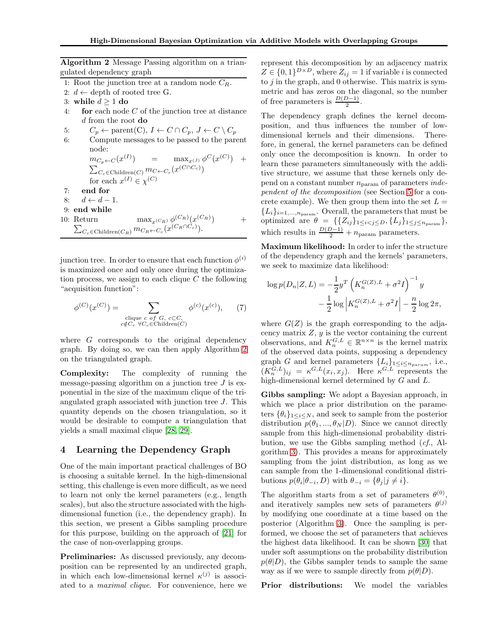<span id="page-3-1"></span>Algorithm 2 Message Passing algorithm on a triangulated dependency graph

- 1: Root the junction tree at a random node  $C_R$ .
- 2:  $d \leftarrow$  depth of rooted tree G.
- 3: while  $d \geq 1$  do
- 4: **for** each node  $C$  of the junction tree at distance d from the root **do**
- 5:  $C_p \leftarrow \text{parent}(C), I \leftarrow C \cap C_p, J \leftarrow C \setminus C_p$
- 6: Compute messages to be passed to the parent node:
	- $m_{C_p \leftarrow C}(x^{(I)})$  =  $\max_{x^{(J)}} \phi^C(x^{(C)})$  +  $\sum_{C_c \in \mathrm{Children}(C)} m_{C \leftarrow C_c} (x^{(C \cap C_c)})$ for each  $x^{(I)} \in \chi^{(C)}$
- 7: end for
- 8:  $d \leftarrow d 1$ .
- 9: end while
- 10: Return  $\max_{x \in R} \phi^{(C_R)}(x)$  $\sum_{C_c \in \text{Children}(C_R)} m_{C_R \leftarrow C_c}(x^{(C_R \cap C_c)})$ .  $+$

junction tree. In order to ensure that each function  $\phi^{(i)}$ is maximized once and only once during the optimization process, we assign to each clique  $C$  the following "acquisition function":

$$
\phi^{(C)}(x^{(C)}) = \sum_{\substack{\text{clique } c \text{ of } G, c \subset C, \\ c \notin C_c \ \forall C_c \in \text{Children}(C)}} \phi^{(c)}(x^{(c)}), \quad (7)
$$

where G corresponds to the original dependency graph. By doing so, we can then apply Algorithm [2](#page-3-1) on the triangulated graph.

Complexity: The complexity of running the message-passing algorithm on a junction tree  $J$  is exponential in the size of the maximum clique of the triangulated graph associated with junction tree J. This quantity depends on the chosen triangulation, so it would be desirable to compute a triangulation that yields a small maximal clique [\[28,](#page-9-8) [29\]](#page-9-9).

## <span id="page-3-0"></span>4 Learning the Dependency Graph

One of the main important practical challenges of BO is choosing a suitable kernel. In the high-dimensional setting, this challenge is even more difficult, as we need to learn not only the kernel parameters (e.g., length scales), but also the structure associated with the highdimensional function (i.e., the dependency graph). In this section, we present a Gibbs sampling procedure for this purpose, building on the approach of [\[21\]](#page-9-1) for the case of non-overlapping groups.

Preliminaries: As discussed previously, any decomposition can be represented by an undirected graph, in which each low-dimensional kernel  $\kappa^{(j)}$  is associated to a *maximal clique*. For convenience, here we represent this decomposition by an adjacency matrix  $Z \in \{0,1\}^{D \times D}$ , where  $Z_{ij} = 1$  if variable *i* is connected to  $j$  in the graph, and 0 otherwise. This matrix is symmetric and has zeros on the diagonal, so the number of free parameters is  $\frac{D(D-1)}{2}$ .

The dependency graph defines the kernel decomposition, and thus influences the number of lowdimensional kernels and their dimensions. Therefore, in general, the kernel parameters can be defined only once the decomposition is known. In order to learn these parameters simultaneously with the additive structure, we assume that these kernels only depend on a constant number nparam of parameters *independent of the decomposition* (see Section [5](#page-4-0) for a concrete example). We then group them into the set  $L =$  ${L_i}_{i=1,\ldots,n_{\text{param}}}$ . Overall, the parameters that must be optimized are  $\theta = \{ \{Z_{ij}\}_{1 \leq i < j \leq D}, \{L_j\}_{1 \leq j \leq n_{\text{param}}}\},\$ which results in  $\frac{D(D-1)}{2} + n_{\text{param}}$  parameters.

Maximum likelihood: In order to infer the structure of the dependency graph and the kernels' parameters, we seek to maximize data likelihood:

$$
\log p(D_n|Z, L) = -\frac{1}{2}y^T \left( K_n^{G(Z), L} + \sigma^2 I \right)^{-1} y - \frac{1}{2} \log \left| K_n^{G(Z), L} + \sigma^2 I \right| - \frac{n}{2} \log 2\pi,
$$

where  $G(Z)$  is the graph corresponding to the adjacency matrix  $Z, y$  is the vector containing the current observations, and  $K_n^{G,L} \in \mathbb{R}^{n \times n}$  is the kernel matrix of the observed data points, supposing a dependency graph G and kernel parameters  $\{L_i\}_{1 \leq i \leq n_{param}}$ , i.e.,  $(K_n^{G,L})_{ij} = \kappa^{G,L}(x_i,x_j)$ . Here  $\kappa^{G,L}$  represents the high-dimensional kernel determined by G and L.

Gibbs sampling: We adopt a Bayesian approach, in which we place a prior distribution on the parameters  $\{\theta_i\}_{1\leq i\leq N}$ , and seek to sample from the posterior distribution  $p(\theta_1, ..., \theta_N | D)$ . Since we cannot directly sample from this high-dimensional probability distribution, we use the Gibbs sampling method (*cf.*, Algorithm [3\)](#page-4-1). This provides a means for approximately sampling from the joint distribution, as long as we can sample from the 1-dimensional conditional distributions  $p(\theta_i | \theta_{-i}, D)$  with  $\theta_{-i} = {\theta_j | j \neq i}.$ 

The algorithm starts from a set of parameters  $\theta^{(0)}$ , and iteratively samples new sets of parameters  $\theta^{(j)}$ by modifying one coordinate at a time based on the posterior (Algorithm [3\)](#page-4-1). Once the sampling is performed, we choose the set of parameters that achieves the highest data likelihood. It can be shown [\[30\]](#page-9-10) that under soft assumptions on the probability distribution  $p(\theta|D)$ , the Gibbs sampler tends to sample the same way as if we were to sample directly from  $p(\theta|D)$ .

Prior distributions: We model the variables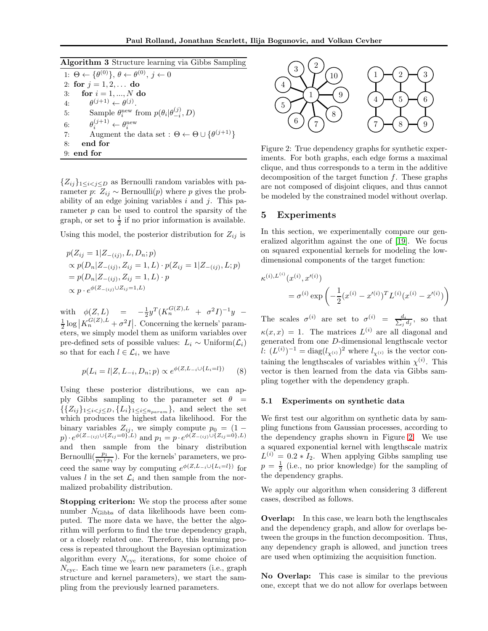#### <span id="page-4-1"></span>Algorithm 3 Structure learning via Gibbs Sampling

1:  $\Theta \leftarrow {\theta^{(0)}}, \theta \leftarrow \theta^{(0)}, j \leftarrow 0$ 2: for  $j = 1, 2, ...$  do 3: for  $i = 1, ..., N$  do  $4:$  $(j+1) \leftarrow \theta^{(j)}.$ 5: Sample  $\theta_i^{\text{new}}$  from  $p(\theta_i | \theta_{-i}^{(j)}, D)$ 6: θ  $i^{(j+1)} \leftarrow \theta_i^{\text{new}}$ 7: Augment the data set :  $\Theta \leftarrow \Theta \cup \{\theta^{(j+1)}\}\$ 8: end for 9: end for

 ${Z_{ij}}_{1\leq i < j \leq D}$  as Bernoulli random variables with parameter p:  $Z_{ij} \sim \text{Bernoulli}(p)$  where p gives the probability of an edge joining variables  $i$  and  $j$ . This parameter  $p$  can be used to control the sparsity of the graph, or set to  $\frac{1}{2}$  if no prior information is available.

Using this model, the posterior distribution for  $Z_{ij}$  is

$$
p(Z_{ij} = 1|Z_{-(ij)}, L, D_n; p)
$$
  
\n
$$
\propto p(D_n|Z_{-(ij)}, Z_{ij} = 1, L) \cdot p(Z_{ij} = 1|Z_{-(ij)}, L; p)
$$
  
\n
$$
= p(D_n|Z_{-(ij)}, Z_{ij} = 1, L) \cdot p
$$
  
\n
$$
\propto p \cdot e^{\phi(Z_{-(ij)} \cup Z_{ij} = 1, L)}
$$

with  $\phi(Z, L) = -\frac{1}{2}y^T(K_n^{G(Z), L} + \sigma^2 I)^{-1}y \frac{1}{2} \log |K_n^{G(Z),L} + \sigma^2 I|.$  Concerning the kernels' parameters, we simply model them as uniform variables over pre-defined sets of possible values:  $L_i \sim \text{Uniform}(\mathcal{L}_i)$ so that for each  $l \in \mathcal{L}_i$ , we have

$$
p(L_i = l | Z, L_{-i}, D_n; p) \propto e^{\phi(Z, L_{-i} \cup \{L_i = l\})}
$$
 (8)

Using these posterior distributions, we can apply Gibbs sampling to the parameter set  $\theta =$  $\{\{Z_{ij}\}_{1\leq i < j \leq D}, \{L_i\}_{1\leq i \leq n_{param}}\},\$ and select the set which produces the highest data likelihood. For the binary variables  $Z_{ij}$ , we simply compute  $p_0 = (1$  $p) \cdot e^{\phi(Z_{-(ij)} \cup \{Z_{ij}=0\},L)}$  and  $p_1 = p \cdot e^{\phi(Z_{-(ij)} \cup \{Z_{ij}=0\},L)}$ and then sample from the binary distribution Bernoulli $(\frac{p_1}{p_0+p_1})$ . For the kernels' parameters, we proceed the same way by computing  $e^{\phi(Z,L_{-i}\cup\{L_i=l\})}$  for values l in the set  $\mathcal{L}_i$  and then sample from the normalized probability distribution.

Stopping criterion: We stop the process after some number NGibbs of data likelihoods have been computed. The more data we have, the better the algorithm will perform to find the true dependency graph, or a closely related one. Therefore, this learning process is repeated throughout the Bayesian optimization algorithm every  $N_{\rm cyc}$  iterations, for some choice of  $N_{\rm cyc}$ . Each time we learn new parameters (i.e., graph structure and kernel parameters), we start the sampling from the previously learned parameters.

<span id="page-4-2"></span>

Figure 2: True dependency graphs for synthetic experiments. For both graphs, each edge forms a maximal clique, and thus corresponds to a term in the additive decomposition of the target function  $f$ . These graphs are not composed of disjoint cliques, and thus cannot be modeled by the constrained model without overlap.

## <span id="page-4-0"></span>5 Experiments

In this section, we experimentally compare our generalized algorithm against the one of [19]. We focus on squared exponential kernels for modeling the lowdimensional components of the target function:

$$
\kappa^{(i),L^{(i)}}(x^{(i)}, x'^{(i)})
$$
  
=  $\sigma^{(i)} \exp \left(-\frac{1}{2}(x^{(i)} - x'^{(i)})^T L^{(i)}(x^{(i)} - x'^{(i)})\right)$ 

The scales  $\sigma^{(i)}$  are set to  $\sigma^{(i)} = \frac{d_i}{\sum_i d_i}$  $\frac{d_i}{j d_j}$ , so that  $\kappa(x,x) = 1$ . The matrices  $L^{(i)}$  are all diagonal and generated from one D-dimensional lengthscale vector l:  $(L^{(i)})^{-1} = \text{diag}(l_{\chi^{(i)}})^2$  where  $l_{\chi^{(i)}}$  is the vector containing the lengthscales of variables within  $\chi^{(i)}$ . This vector is then learned from the data via Gibbs sampling together with the dependency graph.

#### 5.1 Experiments on synthetic data

We first test our algorithm on synthetic data by sampling functions from Gaussian processes, according to the dependency graphs shown in Figure [2.](#page-4-2) We use a squared exponential kernel with lengthscale matrix  $L^{(i)} = 0.2 * I_2$ . When applying Gibbs sampling use  $p = \frac{1}{2}$  (i.e., no prior knowledge) for the sampling of the dependency graphs.

We apply our algorithm when considering 3 different cases, described as follows.

Overlap: In this case, we learn both the lengthscales and the dependency graph, and allow for overlaps between the groups in the function decomposition. Thus, any dependency graph is allowed, and junction trees are used when optimizing the acquisition function.

No Overlap: This case is similar to the previous one, except that we do not allow for overlaps between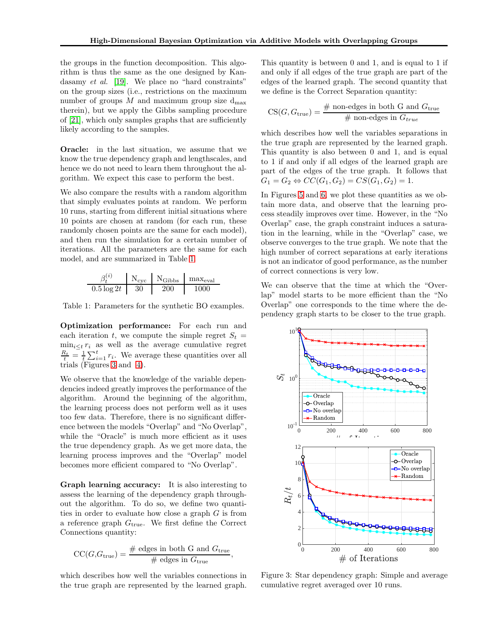the groups in the function decomposition. This algorithm is thus the same as the one designed by Kandasamy *et al.* [19]. We place no "hard constraints" on the group sizes (i.e., restrictions on the maximum number of groups  $M$  and maximum group size  $d_{\text{max}}$ therein), but we apply the Gibbs sampling procedure of [\[21\]](#page-9-1), which only samples graphs that are sufficiently likely according to the samples.

Oracle: in the last situation, we assume that we know the true dependency graph and lengthscales, and hence we do not need to learn them throughout the algorithm. We expect this case to perform the best.

We also compare the results with a random algorithm that simply evaluates points at random. We perform 10 runs, starting from different initial situations where 10 points are chosen at random (for each run, these randomly chosen points are the same for each model), and then run the simulation for a certain number of iterations. All the parameters are the same for each model, and are summarized in Table [1.](#page-5-0)

<span id="page-5-0"></span>
$$
\begin{array}{c|c|c}\n\beta_t^{(i)} & N_{\text{cyc}} & N_{\text{Gibbs}} & \text{max}_{\text{eval}} \\
\hline\n0.5 \log 2t & 30 & 200 & 1000\n\end{array}
$$

Table 1: Parameters for the synthetic BO examples.

Optimization performance: For each run and each iteration t, we compute the simple regret  $S_t =$  $\min_{i\leq t} r_i$  as well as the average cumulative regret  $\frac{R_t}{t} = \frac{1}{t} \sum_{i=1}^t r_i$ . We average these quantities over all trials (Figures [3](#page-5-1) and [4\)](#page-6-0).

We observe that the knowledge of the variable dependencies indeed greatly improves the performance of the algorithm. Around the beginning of the algorithm, the learning process does not perform well as it uses too few data. Therefore, there is no significant difference between the models "Overlap" and "No Overlap", while the "Oracle" is much more efficient as it uses the true dependency graph. As we get more data, the learning process improves and the "Overlap" model becomes more efficient compared to "No Overlap".

Graph learning accuracy: It is also interesting to assess the learning of the dependency graph throughout the algorithm. To do so, we define two quantities in order to evaluate how close a graph G is from a reference graph  $G<sub>true</sub>$ . We first define the Correct Connections quantity:

$$
CC(G, G_{true}) = \frac{\text{\# edges in both } G \text{ and } G_{true}}{\text{\# edges in } G_{true}},
$$

which describes how well the variables connections in the true graph are represented by the learned graph.

This quantity is between 0 and 1, and is equal to 1 if and only if all edges of the true graph are part of the edges of the learned graph. The second quantity that we define is the Correct Separation quantity:

$$
CS(G, G_{true}) = \frac{\text{\# non-edges in both } G \text{ and } G_{true}}{\text{\# non-edges in } G_{true}}
$$

which describes how well the variables separations in the true graph are represented by the learned graph. This quantity is also between 0 and 1, and is equal to 1 if and only if all edges of the learned graph are part of the edges of the true graph. It follows that  $G_1 = G_2 \Leftrightarrow CC(G_1, G_2) = CS(G_1, G_2) = 1.$ 

In Figures [5](#page-6-1) and [6,](#page-7-0) we plot these quantities as we obtain more data, and observe that the learning process steadily improves over time. However, in the "No Overlap" case, the graph constraint induces a saturation in the learning, while in the "Overlap" case, we observe converges to the true graph. We note that the high number of correct separations at early iterations is not an indicator of good performance, as the number of correct connections is very low.

We can observe that the time at which the "Overlap" model starts to be more efficient than the "No Overlap" one corresponds to the time where the dependency graph starts to be closer to the true graph.

<span id="page-5-1"></span>

Figure 3: Star dependency graph: Simple and average cumulative regret averaged over 10 runs.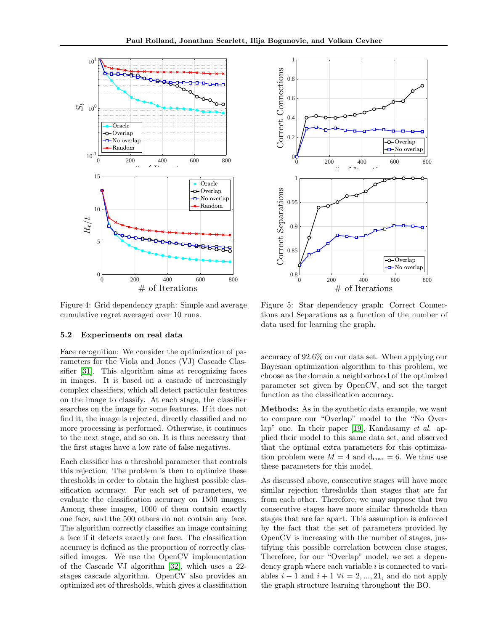<span id="page-6-0"></span>

<span id="page-6-1"></span>

Figure 4: Grid dependency graph: Simple and average cumulative regret averaged over 10 runs.

#### 5.2 Experiments on real data

Face recognition: We consider the optimization of parameters for the Viola and Jones (VJ) Cascade Classifier [\[31\]](#page-9-11). This algorithm aims at recognizing faces in images. It is based on a cascade of increasingly complex classifiers, which all detect particular features on the image to classify. At each stage, the classifier searches on the image for some features. If it does not find it, the image is rejected, directly classified and no more processing is performed. Otherwise, it continues to the next stage, and so on. It is thus necessary that the first stages have a low rate of false negatives.

Each classifier has a threshold parameter that controls this rejection. The problem is then to optimize these thresholds in order to obtain the highest possible classification accuracy. For each set of parameters, we evaluate the classification accuracy on 1500 images. Among these images, 1000 of them contain exactly one face, and the 500 others do not contain any face. The algorithm correctly classifies an image containing a face if it detects exactly one face. The classification accuracy is defined as the proportion of correctly classified images. We use the OpenCV implementation of the Cascade VJ algorithm [\[32\]](#page-9-12), which uses a 22 stages cascade algorithm. OpenCV also provides an optimized set of thresholds, which gives a classification

Figure 5: Star dependency graph: Correct Connections and Separations as a function of the number of data used for learning the graph.

accuracy of 92.6% on our data set. When applying our Bayesian optimization algorithm to this problem, we choose as the domain a neighborhood of the optimized parameter set given by OpenCV, and set the target function as the classification accuracy.

Methods: As in the synthetic data example, we want to compare our "Overlap" model to the "No Overlap" one. In their paper [19], Kandasamy *et al.* applied their model to this same data set, and observed that the optimal extra parameters for this optimization problem were  $M = 4$  and  $d_{\text{max}} = 6$ . We thus use these parameters for this model.

As discussed above, consecutive stages will have more similar rejection thresholds than stages that are far from each other. Therefore, we may suppose that two consecutive stages have more similar thresholds than stages that are far apart. This assumption is enforced by the fact that the set of parameters provided by OpenCV is increasing with the number of stages, justifying this possible correlation between close stages. Therefore, for our "Overlap" model, we set a dependency graph where each variable  $i$  is connected to variables  $i-1$  and  $i+1$   $\forall i = 2, ..., 21$ , and do not apply the graph structure learning throughout the BO.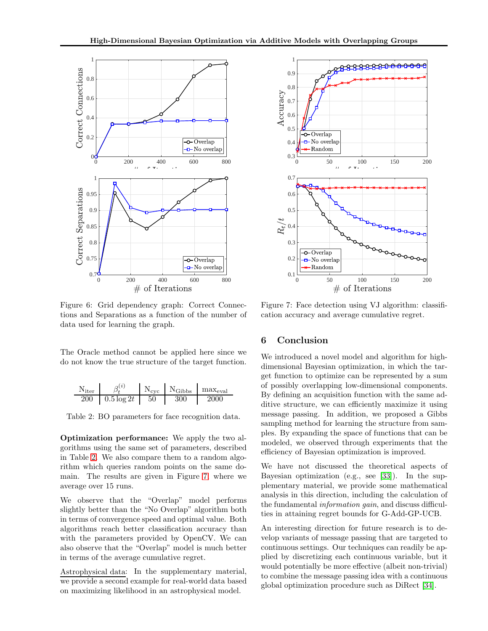<span id="page-7-0"></span>

Figure 6: Grid dependency graph: Correct Connections and Separations as a function of the number of data used for learning the graph.

The Oracle method cannot be applied here since we do not know the true structure of the target function.

<span id="page-7-1"></span>

| $N_{\rm iter}$ | (i)           | $N_{\rm cyc}$ | $N_{\rm Gibbs}$ | $max_{eval}$ |
|----------------|---------------|---------------|-----------------|--------------|
| 200            | $0.5 \log 2t$ | $50\,$        | 300             | 2000         |

Table 2: BO parameters for face recognition data.

Optimization performance: We apply the two algorithms using the same set of parameters, described in Table [2.](#page-7-1) We also compare them to a random algorithm which queries random points on the same domain. The results are given in Figure [7,](#page-7-2) where we average over 15 runs.

We observe that the "Overlap" model performs slightly better than the "No Overlap" algorithm both in terms of convergence speed and optimal value. Both algorithms reach better classification accuracy than with the parameters provided by OpenCV. We can also observe that the "Overlap" model is much better in terms of the average cumulative regret.

Astrophysical data: In the supplementary material, we provide a second example for real-world data based on maximizing likelihood in an astrophysical model.

<span id="page-7-2"></span>

Figure 7: Face detection using VJ algorithm: classification accuracy and average cumulative regret.

## 6 Conclusion

We introduced a novel model and algorithm for highdimensional Bayesian optimization, in which the target function to optimize can be represented by a sum of possibly overlapping low-dimensional components. By defining an acquisition function with the same additive structure, we can efficiently maximize it using message passing. In addition, we proposed a Gibbs sampling method for learning the structure from samples. By expanding the space of functions that can be modeled, we observed through experiments that the efficiency of Bayesian optimization is improved.

We have not discussed the theoretical aspects of Bayesian optimization (e.g., see [\[33\]](#page-9-13)). In the supplementary material, we provide some mathematical analysis in this direction, including the calculation of the fundamental *information gain*, and discuss difficulties in attaining regret bounds for G-Add-GP-UCB.

An interesting direction for future research is to develop variants of message passing that are targeted to continuous settings. Our techniques can readily be applied by discretizing each continuous variable, but it would potentially be more effective (albeit non-trivial) to combine the message passing idea with a continuous global optimization procedure such as DiRect [\[34\]](#page-9-14).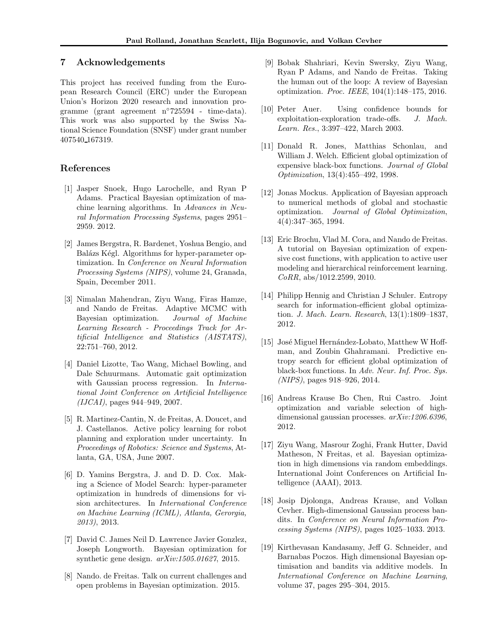## 7 Acknowledgements

This project has received funding from the European Research Council (ERC) under the European Union's Horizon 2020 research and innovation programme (grant agreement n◦725594 - time-data). This work was also supported by the Swiss National Science Foundation (SNSF) under grant number 407540 167319.

## <span id="page-8-0"></span>References

- [1] Jasper Snoek, Hugo Larochelle, and Ryan P Adams. Practical Bayesian optimization of machine learning algorithms. In *Advances in Neural Information Processing Systems*, pages 2951– 2959. 2012.
- <span id="page-8-1"></span>[2] James Bergstra, R. Bardenet, Yoshua Bengio, and Balázs Kégl. Algorithms for hyper-parameter optimization. In *Conference on Neural Information Processing Systems (NIPS)*, volume 24, Granada, Spain, December 2011.
- <span id="page-8-2"></span>[3] Nimalan Mahendran, Ziyu Wang, Firas Hamze, and Nando de Freitas. Adaptive MCMC with Bayesian optimization. *Journal of Machine Learning Research - Proceedings Track for Artificial Intelligence and Statistics (AISTATS)*, 22:751–760, 2012.
- <span id="page-8-3"></span>[4] Daniel Lizotte, Tao Wang, Michael Bowling, and Dale Schuurmans. Automatic gait optimization with Gaussian process regression. In *International Joint Conference on Artificial Intelligence (IJCAI)*, pages 944–949, 2007.
- <span id="page-8-4"></span>[5] R. Martinez-Cantin, N. de Freitas, A. Doucet, and J. Castellanos. Active policy learning for robot planning and exploration under uncertainty. In *Proceedings of Robotics: Science and Systems*, Atlanta, GA, USA, June 2007.
- <span id="page-8-5"></span>[6] D. Yamins Bergstra, J. and D. D. Cox. Making a Science of Model Search: hyper-parameter optimization in hundreds of dimensions for vision architectures. In *International Conference on Machine Learning (ICML), Atlanta, Gerorgia, 2013)*, 2013.
- <span id="page-8-6"></span>[7] David C. James Neil D. Lawrence Javier Gonzlez, Joseph Longworth. Bayesian optimization for synthetic gene design. *arXiv:1505.01627*, 2015.
- <span id="page-8-7"></span>[8] Nando. de Freitas. Talk on current challenges and open problems in Bayesian optimization. 2015.
- <span id="page-8-8"></span>[9] Bobak Shahriari, Kevin Swersky, Ziyu Wang, Ryan P Adams, and Nando de Freitas. Taking the human out of the loop: A review of Bayesian optimization. *Proc. IEEE*, 104(1):148–175, 2016.
- <span id="page-8-9"></span>[10] Peter Auer. Using confidence bounds for exploitation-exploration trade-offs. *J. Mach. Learn. Res.*, 3:397–422, March 2003.
- <span id="page-8-10"></span>[11] Donald R. Jones, Matthias Schonlau, and William J. Welch. Efficient global optimization of expensive black-box functions. *Journal of Global Optimization*, 13(4):455–492, 1998.
- <span id="page-8-11"></span>[12] Jonas Mockus. Application of Bayesian approach to numerical methods of global and stochastic optimization. *Journal of Global Optimization*, 4(4):347–365, 1994.
- [13] Eric Brochu, Vlad M. Cora, and Nando de Freitas. A tutorial on Bayesian optimization of expensive cost functions, with application to active user modeling and hierarchical reinforcement learning. *CoRR*, abs/1012.2599, 2010.
- <span id="page-8-12"></span>[14] Philipp Hennig and Christian J Schuler. Entropy search for information-efficient global optimization. *J. Mach. Learn. Research*, 13(1):1809–1837, 2012.
- <span id="page-8-13"></span>[15] José Miguel Hernández-Lobato, Matthew W Hoffman, and Zoubin Ghahramani. Predictive entropy search for efficient global optimization of black-box functions. In *Adv. Neur. Inf. Proc. Sys. (NIPS)*, pages 918–926, 2014.
- <span id="page-8-14"></span>[16] Andreas Krause Bo Chen, Rui Castro. Joint optimization and variable selection of highdimensional gaussian processes. *arXiv:1206.6396*, 2012.
- <span id="page-8-15"></span>[17] Ziyu Wang, Masrour Zoghi, Frank Hutter, David Matheson, N Freitas, et al. Bayesian optimization in high dimensions via random embeddings. International Joint Conferences on Artificial Intelligence (AAAI), 2013.
- <span id="page-8-16"></span>[18] Josip Djolonga, Andreas Krause, and Volkan Cevher. High-dimensional Gaussian process bandits. In *Conference on Neural Information Processing Systems (NIPS)*, pages 1025–1033. 2013.
- [19] Kirthevasan Kandasamy, Jeff G. Schneider, and Barnabas Poczos. High dimensional Bayesian optimisation and bandits via additive models. In *International Conference on Machine Learning*, volume 37, pages 295–304, 2015.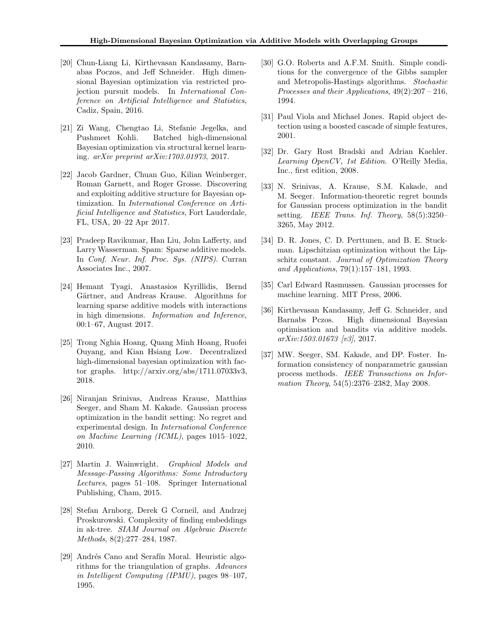- <span id="page-9-0"></span>[20] Chun-Liang Li, Kirthevasan Kandasamy, Barnabas Poczos, and Jeff Schneider. High dimensional Bayesian optimization via restricted projection pursuit models. In *International Conference on Artificial Intelligence and Statistics*, Cadiz, Spain, 2016.
- <span id="page-9-1"></span>[21] Zi Wang, Chengtao Li, Stefanie Jegelka, and Pushmeet Kohli. Batched high-dimensional Bayesian optimization via structural kernel learning. *arXiv preprint arXiv:1703.01973*, 2017.
- <span id="page-9-2"></span>[22] Jacob Gardner, Chuan Guo, Kilian Weinberger, Roman Garnett, and Roger Grosse. Discovering and exploiting additive structure for Bayesian optimization. In *International Conference on Artificial Intelligence and Statistics*, Fort Lauderdale, FL, USA, 20–22 Apr 2017.
- <span id="page-9-3"></span>[23] Pradeep Ravikumar, Han Liu, John Lafferty, and Larry Wasserman. Spam: Sparse additive models. In *Conf. Neur. Inf. Proc. Sys. (NIPS)*. Curran Associates Inc., 2007.
- <span id="page-9-4"></span>[24] Hemant Tyagi, Anastasios Kyrillidis, Bernd Gärtner, and Andreas Krause. Algorithms for learning sparse additive models with interactions in high dimensions. *Information and Inference*, 00:1–67, August 2017.
- <span id="page-9-5"></span>[25] Trong Nghia Hoang, Quang Minh Hoang, Ruofei Ouyang, and Kian Hsiang Low. Decentralized high-dimensional bayesian optimization with factor graphs. http://arxiv.org/abs/1711.07033v3, 2018.
- <span id="page-9-6"></span>[26] Niranjan Srinivas, Andreas Krause, Matthias Seeger, and Sham M. Kakade. Gaussian process optimization in the bandit setting: No regret and experimental design. In *International Conference on Machine Learning (ICML)*, pages 1015–1022, 2010.
- <span id="page-9-7"></span>[27] Martin J. Wainwright. *Graphical Models and Message-Passing Algorithms: Some Introductory Lectures*, pages 51–108. Springer International Publishing, Cham, 2015.
- <span id="page-9-8"></span>[28] Stefan Arnborg, Derek G Corneil, and Andrzej Proskurowski. Complexity of finding embeddings in ak-tree. *SIAM Journal on Algebraic Discrete Methods*, 8(2):277–284, 1987.
- <span id="page-9-9"></span>[29] Andrés Cano and Serafín Moral. Heuristic algorithms for the triangulation of graphs. *Advances in Intelligent Computing (IPMU)*, pages 98–107, 1995.
- <span id="page-9-10"></span>[30] G.O. Roberts and A.F.M. Smith. Simple conditions for the convergence of the Gibbs sampler and Metropolis-Hastings algorithms. *Stochastic Processes and their Applications*, 49(2):207 – 216, 1994.
- <span id="page-9-11"></span>[31] Paul Viola and Michael Jones. Rapid object detection using a boosted cascade of simple features, 2001.
- <span id="page-9-12"></span>[32] Dr. Gary Rost Bradski and Adrian Kaehler. *Learning OpenCV, 1st Edition*. O'Reilly Media, Inc., first edition, 2008.
- <span id="page-9-13"></span>[33] N. Srinivas, A. Krause, S.M. Kakade, and M. Seeger. Information-theoretic regret bounds for Gaussian process optimization in the bandit setting. *IEEE Trans. Inf. Theory*, 58(5):3250– 3265, May 2012.
- <span id="page-9-14"></span>[34] D. R. Jones, C. D. Perttunen, and B. E. Stuckman. Lipschitzian optimization without the Lipschitz constant. *Journal of Optimization Theory and Applications*, 79(1):157–181, 1993.
- <span id="page-9-15"></span>[35] Carl Edward Rasmussen. Gaussian processes for machine learning. MIT Press, 2006.
- <span id="page-9-16"></span>[36] Kirthevasan Kandasamy, Jeff G. Schneider, and Barnabs Pczos. High dimensional Bayesian optimisation and bandits via additive models. *arXiv:1503.01673 [v3]*, 2017.
- <span id="page-9-17"></span>[37] MW. Seeger, SM. Kakade, and DP. Foster. Information consistency of nonparametric gaussian process methods. *IEEE Transactions on Information Theory*, 54(5):2376–2382, May 2008.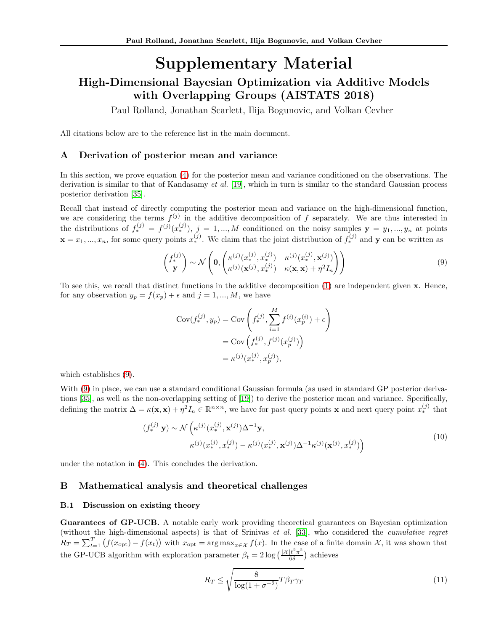# Supplementary Material High-Dimensional Bayesian Optimization via Additive Models with Overlapping Groups (AISTATS 2018)

Paul Rolland, Jonathan Scarlett, Ilija Bogunovic, and Volkan Cevher

All citations below are to the reference list in the main document.

## A Derivation of posterior mean and variance

In this section, we prove equation [\(4\)](#page-1-0) for the posterior mean and variance conditioned on the observations. The derivation is similar to that of Kandasamy *et al.* [19], which in turn is similar to the standard Gaussian process posterior derivation [\[35\]](#page-9-15).

Recall that instead of directly computing the posterior mean and variance on the high-dimensional function, we are considering the terms  $f^{(j)}$  in the additive decomposition of f separately. We are thus interested in the distributions of  $f_*^{(j)} = f^{(j)}(x_*^{(j)}), j = 1, ..., M$  conditioned on the noisy samples  $y = y_1, ..., y_n$  at points  $\mathbf{x} = x_1, ..., x_n$ , for some query points  $x_*^{(j)}$ . We claim that the joint distribution of  $f_*^{(j)}$  and  $\mathbf{y}$  can be written as

<span id="page-10-0"></span>
$$
\begin{pmatrix} f_*^{(j)} \\ \mathbf{y} \end{pmatrix} \sim \mathcal{N} \left( \mathbf{0}, \begin{pmatrix} \kappa^{(j)}(x_*^{(j)}, x_*^{(j)}) & \kappa^{(j)}(x_*^{(j)}, \mathbf{x}^{(j)}) \\ \kappa^{(j)}(\mathbf{x}^{(j)}, x_*^{(j)}) & \kappa(\mathbf{x}, \mathbf{x}) + \eta^2 I_n \end{pmatrix} \right)
$$
\n(9)

To see this, we recall that distinct functions in the additive decomposition [\(1\)](#page-1-1) are independent given x. Hence, for any observation  $y_p = f(x_p) + \epsilon$  and  $j = 1, ..., M$ , we have

$$
Cov(f_*^{(j)}, y_p) = Cov\left(f_*^{(j)}, \sum_{i=1}^M f^{(i)}(x_p^{(i)}) + \epsilon\right)
$$
  
= Cov\left(f\_\*^{(j)}, f^{(j)}(x\_p^{(j)})\right)  
=  $\kappa^{(j)}(x_*^{(j)}, x_p^{(j)}),$ 

which establishes [\(9\)](#page-10-0).

With [\(9\)](#page-10-0) in place, we can use a standard conditional Gaussian formula (as used in standard GP posterior derivations [\[35\]](#page-9-15), as well as the non-overlapping setting of [19]) to derive the posterior mean and variance. Specifically, defining the matrix  $\Delta = \kappa(\mathbf{x}, \mathbf{x}) + \eta^2 I_n \in \mathbb{R}^{n \times n}$ , we have for past query points **x** and next query point  $x_*^{(j)}$  that

$$
(f_*^{(j)}|\mathbf{y}) \sim \mathcal{N}\left(\kappa^{(j)}(x_*^{(j)}, \mathbf{x}^{(j)})\Delta^{-1}\mathbf{y},\n\kappa^{(j)}(x_*^{(j)}, x_*^{(j)}) - \kappa^{(j)}(x_*^{(j)}, \mathbf{x}^{(j)})\Delta^{-1}\kappa^{(j)}(\mathbf{x}^{(j)}, x_*^{(j)})\right)
$$
\n
$$
(10)
$$

under the notation in [\(4\)](#page-1-0). This concludes the derivation.

## B Mathematical analysis and theoretical challenges

#### B.1 Discussion on existing theory

Guarantees of GP-UCB. A notable early work providing theoretical guarantees on Bayesian optimization (without the high-dimensional aspects) is that of Srinivas *et al.* [\[33\]](#page-9-13), who considered the *cumulative regret*  $R_T = \sum_{t=1}^T (f(x_{\text{opt}}) - f(x_t))$  with  $x_{\text{opt}} = \arg \max_{x \in \mathcal{X}} f(x)$ . In the case of a finite domain X, it was shown that the GP-UCB algorithm with exploration parameter  $\beta_t = 2 \log \left( \frac{|\mathcal{X}| t^2 \pi^2}{6 \delta} \right)$  $\frac{|t^2\pi^2}{6\delta}$ ) achieves

<span id="page-10-1"></span>
$$
R_T \le \sqrt{\frac{8}{\log(1 + \sigma^{-2})}} T \beta_T \gamma_T \tag{11}
$$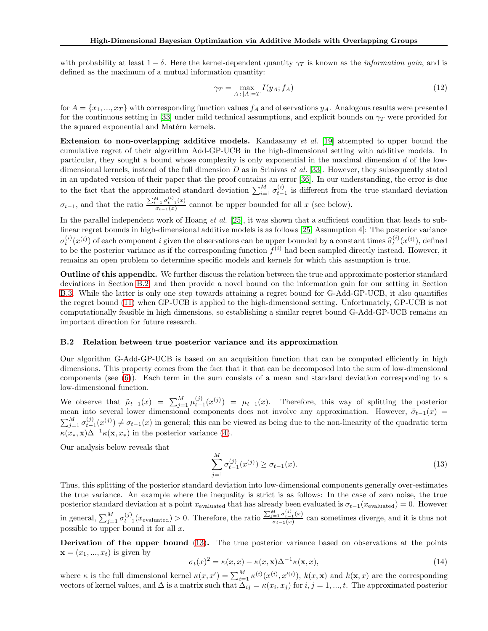with probability at least  $1 - \delta$ . Here the kernel-dependent quantity  $\gamma_T$  is known as the *information gain*, and is defined as the maximum of a mutual information quantity:

<span id="page-11-2"></span>
$$
\gamma_T = \max_{A \,:\, |A| = T} I(y_A; f_A) \tag{12}
$$

for  $A = \{x_1, ..., x_T\}$  with corresponding function values  $f_A$  and observations  $y_A$ . Analogous results were presented for the continuous setting in [\[33\]](#page-9-13) under mild technical assumptions, and explicit bounds on  $\gamma_T$  were provided for the squared exponential and Matérn kernels.

Extension to non-overlapping additive models. Kandasamy *et al.* [19] attempted to upper bound the cumulative regret of their algorithm Add-GP-UCB in the high-dimensional setting with additive models. In particular, they sought a bound whose complexity is only exponential in the maximal dimension d of the lowdimensional kernels, instead of the full dimension D as in Srinivas *et al.* [\[33\]](#page-9-13). However, they subsequently stated in an updated version of their paper that the proof contains an error [\[36\]](#page-9-16). In our understanding, the error is due to the fact that the approximated standard deviation  $\sum_{i=1}^{M} \sigma_{t-1}^{(i)}$  is different from the true standard deviation  $\sigma_{t-1}$ , and that the ratio  $\frac{\sum_{i=1}^{M} \sigma_{t-1}^{(i)}(x)}{\sigma_{t-1}(x)}$  $\frac{z_1 - y_1 + z_2}{\sigma_{t-1}(x)}$  cannot be upper bounded for all x (see below).

In the parallel independent work of Hoang *et al.* [\[25\]](#page-9-5), it was shown that a sufficient condition that leads to sublinear regret bounds in high-dimensional additive models is as follows [\[25,](#page-9-5) Assumption 4]: The posterior variance  $\sigma_t^{(i)}(x^{(i)})$  of each component i given the observations can be upper bounded by a constant times  $\hat{\sigma}_t^{(i)}(x^{(i)})$ , defined to be the posterior variance as if the corresponding function  $f^{(i)}$  had been sampled directly instead. However, it remains an open problem to determine specific models and kernels for which this assumption is true.

Outline of this appendix. We further discuss the relation between the true and approximate posterior standard deviations in Section [B.2,](#page-11-0) and then provide a novel bound on the information gain for our setting in Section [B.3.](#page-13-0) While the latter is only one step towards attaining a regret bound for G-Add-GP-UCB, it also quantifies the regret bound [\(11\)](#page-10-1) when GP-UCB is applied to the high-dimensional setting. Unfortunately, GP-UCB is not computationally feasible in high dimensions, so establishing a similar regret bound G-Add-GP-UCB remains an important direction for future research.

#### <span id="page-11-0"></span>B.2 Relation between true posterior variance and its approximation

Our algorithm G-Add-GP-UCB is based on an acquisition function that can be computed efficiently in high dimensions. This property comes from the fact that it that can be decomposed into the sum of low-dimensional components (see [\(6\)](#page-2-4)). Each term in the sum consists of a mean and standard deviation corresponding to a low-dimensional function.

We observe that  $\tilde{\mu}_{t-1}(x) = \sum_{j=1}^{M} \mu_{t-1}^{(j)}(x^{(j)}) = \mu_{t-1}(x)$ . Therefore, this way of splitting the posterior mean into several lower dimensional components does not involve any approximation. However,  $\tilde{\sigma}_{t-1}(x)$  =  $\sum_{j=1}^{M} \sigma_{t-1}^{(j)}(x^{(j)}) \neq \sigma_{t-1}(x)$  in general; this can be viewed as being due to the non-linearity of the quadratic term  $\kappa(x_*, \mathbf{x})\Delta^{-1}\kappa(\mathbf{x}, x_*)$  in the posterior variance [\(4\)](#page-1-0).

Our analysis below reveals that

<span id="page-11-1"></span>
$$
\sum_{j=1}^{M} \sigma_{t-1}^{(j)}(x^{(j)}) \ge \sigma_{t-1}(x). \tag{13}
$$

Thus, this splitting of the posterior standard deviation into low-dimensional components generally over-estimates the true variance. An example where the inequality is strict is as follows: In the case of zero noise, the true posterior standard deviation at a point  $x_{evaluated}$  that has already been evaluated is  $\sigma_{t-1}(x_{evaluated}) = 0$ . However in general,  $\sum_{j=1}^{M} \sigma_{t-1}^{(j)}(x_{\text{evaluated}}) > 0$ . Therefore, the ratio  $\frac{\sum_{j=1}^{M} \sigma_{t-1}^{(j)}(x)}{\sigma_{t-1}(x)}$  $\frac{z_1 - z_1 + z_2}{\sigma_{t-1}(x)}$  can sometimes diverge, and it is thus not possible to upper bound it for all x.

Derivation of the upper bound [\(13\)](#page-11-1). The true posterior variance based on observations at the points  $\mathbf{x} = (x_1, ..., x_t)$  is given by

$$
\sigma_t(x)^2 = \kappa(x, x) - \kappa(x, x)\Delta^{-1}\kappa(x, x),\tag{14}
$$

where  $\kappa$  is the full dimensional kernel  $\kappa(x, x') = \sum_{i=1}^{M} \kappa^{(i)}(x^{(i)}, x'^{(i)}), k(x, \mathbf{x})$  and  $k(\mathbf{x}, x)$  are the corresponding vectors of kernel values, and  $\Delta$  is a matrix such that  $\Delta_{ij} = \kappa(x_i, x_j)$  for  $i, j = 1, ..., t$ . The approximated posterior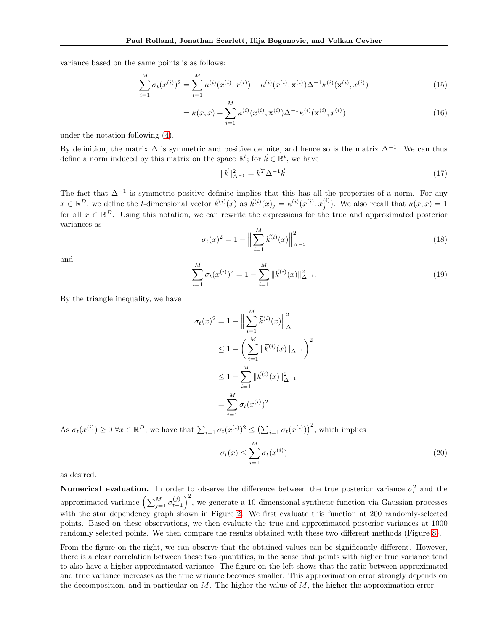variance based on the same points is as follows:

$$
\sum_{i=1}^{M} \sigma_t(x^{(i)})^2 = \sum_{i=1}^{M} \kappa^{(i)}(x^{(i)}, x^{(i)}) - \kappa^{(i)}(x^{(i)}, \mathbf{x}^{(i)})\Delta^{-1}\kappa^{(i)}(\mathbf{x}^{(i)}, x^{(i)})
$$
(15)

$$
= \kappa(x, x) - \sum_{i=1}^{M} \kappa^{(i)}(x^{(i)}, \mathbf{x}^{(i)}) \Delta^{-1} \kappa^{(i)}(\mathbf{x}^{(i)}, x^{(i)})
$$
(16)

under the notation following [\(4\)](#page-1-0).

By definition, the matrix  $\Delta$  is symmetric and positive definite, and hence so is the matrix  $\Delta^{-1}$ . We can thus define a norm induced by this matrix on the space  $\mathbb{R}^t$ ; for  $\vec{k} \in \mathbb{R}^t$ , we have

$$
\|\vec{k}\|_{\Delta^{-1}}^2 = \vec{k}^T \Delta^{-1} \vec{k}.\tag{17}
$$

The fact that  $\Delta^{-1}$  is symmetric positive definite implies that this has all the properties of a norm. For any  $x \in \mathbb{R}^D$ , we define the *t*-dimensional vector  $\vec{k}^{(i)}(x)$  as  $\vec{k}^{(i)}(x)_j = \kappa^{(i)}(x^{(i)}, x_j^{(i)})$  $j^{(i)}$ ). We also recall that  $\kappa(x, x) = 1$ for all  $x \in \mathbb{R}^D$ . Using this notation, we can rewrite the expressions for the true and approximated posterior variances as

$$
\sigma_t(x)^2 = 1 - \left\| \sum_{i=1}^M \vec{k}^{(i)}(x) \right\|_{\Delta^{-1}}^2
$$
\n(18)

and

$$
\sum_{i=1}^{M} \sigma_t(x^{(i)})^2 = 1 - \sum_{i=1}^{M} \|\vec{k}^{(i)}(x)\|_{\Delta^{-1}}^2.
$$
\n(19)

By the triangle inequality, we have

$$
\sigma_t(x)^2 = 1 - \Big\|\sum_{i=1}^M \vec{k}^{(i)}(x)\Big\|_{\Delta^{-1}}^2
$$
  
\n
$$
\leq 1 - \Big(\sum_{i=1}^M \|\vec{k}^{(i)}(x)\|_{\Delta^{-1}}\Big)^2
$$
  
\n
$$
\leq 1 - \sum_{i=1}^M \|\vec{k}^{(i)}(x)\|_{\Delta^{-1}}^2
$$
  
\n
$$
= \sum_{i=1}^M \sigma_t(x^{(i)})^2
$$

As  $\sigma_t(x^{(i)}) \geq 0 \ \forall x \in \mathbb{R}^D$ , we have that  $\sum_{i=1} \sigma_t(x^{(i)})^2 \leq (\sum_{i=1} \sigma_t(x^{(i)}))^2$ , which implies

$$
\sigma_t(x) \le \sum_{i=1}^M \sigma_t(x^{(i)})
$$
\n(20)

as desired.

**Numerical evaluation.** In order to observe the difference between the true posterior variance  $\sigma_t^2$  and the approximated variance  $\left(\sum_{j=1}^M \sigma_{t-1}^{(j)}\right)^2$ , we generate a 10 dimensional synthetic function via Gaussian processes with the star dependency graph shown in Figure [2.](#page-4-2) We first evaluate this function at 200 randomly-selected points. Based on these observations, we then evaluate the true and approximated posterior variances at 1000 randomly selected points. We then compare the results obtained with these two different methods (Figure [8\)](#page-13-1).

From the figure on the right, we can observe that the obtained values can be significantly different. However, there is a clear correlation between these two quantities, in the sense that points with higher true variance tend to also have a higher approximated variance. The figure on the left shows that the ratio between approximated and true variance increases as the true variance becomes smaller. This approximation error strongly depends on the decomposition, and in particular on  $M$ . The higher the value of  $M$ , the higher the approximation error.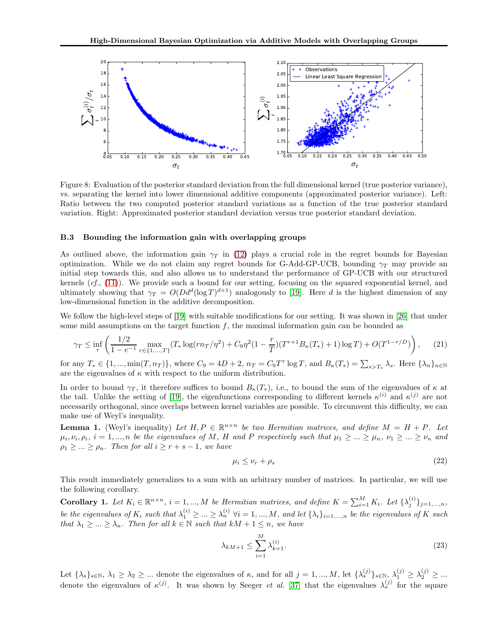<span id="page-13-1"></span>

Figure 8: Evaluation of the posterior standard deviation from the full dimensional kernel (true posterior variance), vs. separating the kernel into lower dimensional additive components (approximated posterior variance). Left: Ratio between the two computed posterior standard variations as a function of the true posterior standard variation. Right: Approximated posterior standard deviation versus true posterior standard deviation.

#### <span id="page-13-0"></span>B.3 Bounding the information gain with overlapping groups

As outlined above, the information gain  $\gamma_T$  in [\(12\)](#page-11-2) plays a crucial role in the regret bounds for Bayesian optimization. While we do not claim any regret bounds for G-Add-GP-UCB, bounding  $\gamma_T$  may provide an initial step towards this, and also allows us to understand the performance of GP-UCB with our structured kernels (*cf.*, [\(11\)](#page-10-1)). We provide such a bound for our setting, focusing on the squared exponential kernel, and ultimately showing that  $\gamma_T = O(Dd^d(\log T)^{d+1})$  analogously to [19]. Here d is the highest dimension of any low-dimensional function in the additive decomposition.

We follow the high-level steps of [19] with suitable modifications for our setting. It was shown in [\[26\]](#page-9-6) that under some mild assumptions on the target function  $f$ , the maximal information gain can be bounded as

$$
\gamma_T \le \inf_{\tau} \left( \frac{1/2}{1 - e^{-1}} \max_{r \in \{1, \ldots, T\}} (T_* \log(r n_T / \eta^2) + C_9 \eta^2 (1 - \frac{r}{T}) (T^{r+1} B_\kappa(T_*) + 1) \log T) + O(T^{1 - \tau/D}) \right), \tag{21}
$$

for any  $T_* \in \{1, ..., \min(T, n_T)\}\$ , where  $C_9 = 4D + 2$ ,  $n_T = C_9T^{\tau} \log T$ , and  $B_{\kappa}(T_*) = \sum_{s>T_*} \lambda_s$ . Here  $\{\lambda_n\}_{n \in \mathbb{N}}$ are the eigenvalues of  $\kappa$  with respect to the uniform distribution.

In order to bound  $\gamma_T$ , it therefore suffices to bound  $B_{\kappa}(T_*)$ , i.e., to bound the sum of the eigenvalues of  $\kappa$  at the tail. Unlike the setting of [19], the eigenfunctions corresponding to different kernels  $\kappa^{(i)}$  and  $\kappa^{(j)}$  are not necessarily orthogonal, since overlaps between kernel variables are possible. To circumvent this difficulty, we can make use of Weyl's inequality.

**Lemma 1.** (Weyl's inequality) Let  $H, P \in \mathbb{R}^{n \times n}$  be two Hermitian matrices, and define  $M = H + P$ . Let  $\mu_i, \nu_i, \rho_i, i = 1, ..., n$  be the eigenvalues of M, H and P respectively such that  $\mu_1 \geq ... \geq \mu_n$ ,  $\nu_1 \geq ... \geq \nu_n$  and  $\rho_1 \geq ... \geq \rho_n$ . Then for all  $i \geq r + s - 1$ , we have

<span id="page-13-2"></span>
$$
\mu_i \le \nu_r + \rho_s \tag{22}
$$

This result immediately generalizes to a sum with an arbitrary number of matrices. In particular, we will use the following corollary.

**Corollary 1.** Let  $K_i \in \mathbb{R}^{n \times n}$ ,  $i = 1, ..., M$  be Hermitian matrices, and define  $K = \sum_{i=1}^{M} K_i$ . Let  $\{\lambda_j^{(i)}\}$  $\{j^{(i)}\}_{j=1,...,n}$ be the eigenvalues of  $K_i$  such that  $\lambda_1^{(i)} \geq ... \geq \lambda_n^{(i)}$   $\forall i = 1,...,M$ , and let  $\{\lambda_i\}_{i=1,...,n}$  be the eigenvalues of K such *that*  $\lambda_1 \geq ... \geq \lambda_n$ *. Then for all*  $k \in \mathbb{N}$  *such that*  $kM + 1 \leq n$ *, we have* 

$$
\lambda_{kM+1} \le \sum_{i=1}^{M} \lambda_{k+1}^{(i)}.\tag{23}
$$

Let  $\{\lambda_s\}_{s\in\mathbb{N}},\ \lambda_1\geq\lambda_2\geq\ldots$  denote the eigenvalues of  $\kappa$ , and for all  $j=1,\ldots,M$ , let  $\{\lambda_s^{(j)}\}_{s\in\mathbb{N}},\ \lambda_1^{(j)}\geq\lambda_2^{(j)}\geq\ldots$ denote the eigenvalues of  $\kappa^{(j)}$ . It was shown by Seeger *et al.* [\[37\]](#page-9-17) that the eigenvalues  $\lambda_s^{(j)}$  for the square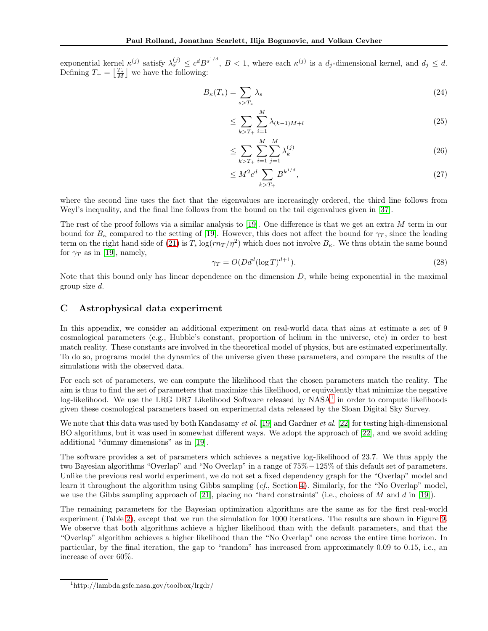exponential kernel  $\kappa^{(j)}$  satisfy  $\lambda_s^{(j)} \leq c^d B^{s^{1/d}}$ ,  $B < 1$ , where each  $\kappa^{(j)}$  is a  $d_j$ -dimensional kernel, and  $d_j \leq d$ . Defining  $T_+ = \left\lfloor \frac{T_*}{M} \right\rfloor$  we have the following:

$$
B_{\kappa}(T_*) = \sum_{s>T_*} \lambda_s \tag{24}
$$

$$
\leq \sum_{k>T_+} \sum_{i=1}^M \lambda_{(k-1)M+l} \tag{25}
$$

$$
\leq \sum_{k>T_+} \sum_{i=1}^{M} \sum_{j=1}^{M} \lambda_k^{(j)} \tag{26}
$$

$$
\leq M^2 c^d \sum_{k>T_+} B^{k^{1/d}},\tag{27}
$$

where the second line uses the fact that the eigenvalues are increasingly ordered, the third line follows from Weyl's inequality, and the final line follows from the bound on the tail eigenvalues given in [\[37\]](#page-9-17).

The rest of the proof follows via a similar analysis to [19]. One difference is that we get an extra M term in our bound for  $B_{\kappa}$  compared to the setting of [19]. However, this does not affect the bound for  $\gamma_T$ , since the leading term on the right hand side of [\(21\)](#page-13-2) is  $T_* \log(r n_T / \eta^2)$  which does not involve  $B_{\kappa}$ . We thus obtain the same bound for  $\gamma_T$  as in [19], namely,

$$
\gamma_T = O(Dd^d(\log T)^{d+1}).\tag{28}
$$

Note that this bound only has linear dependence on the dimension  $D$ , while being exponential in the maximal group size d.

## C Astrophysical data experiment

In this appendix, we consider an additional experiment on real-world data that aims at estimate a set of 9 cosmological parameters (e.g., Hubble's constant, proportion of helium in the universe, etc) in order to best match reality. These constants are involved in the theoretical model of physics, but are estimated experimentally. To do so, programs model the dynamics of the universe given these parameters, and compare the results of the simulations with the observed data.

For each set of parameters, we can compute the likelihood that the chosen parameters match the reality. The aim is thus to find the set of parameters that maximize this likelihood, or equivalently that minimize the negative log-likelihood. We use the LRG DR7 Likelihood Software released by NASA<sup>[1](#page-14-0)</sup> in order to compute likelihoods given these cosmological parameters based on experimental data released by the Sloan Digital Sky Survey.

We note that this data was used by both Kandasamy *et al.* [19] and Gardner *et al.* [\[22\]](#page-9-2) for testing high-dimensional BO algorithms, but it was used in somewhat different ways. We adopt the approach of [\[22\]](#page-9-2), and we avoid adding additional "dummy dimensions" as in [19].

The software provides a set of parameters which achieves a negative log-likelihood of 23.7. We thus apply the two Bayesian algorithms "Overlap" and "No Overlap" in a range of 75%−125% of this default set of parameters. Unlike the previous real world experiment, we do not set a fixed dependency graph for the "Overlap" model and learn it throughout the algorithm using Gibbs sampling (*cf.*, Section [4\)](#page-3-0). Similarly, for the "No Overlap" model, we use the Gibbs sampling approach of [\[21\]](#page-9-1), placing no "hard constraints" (i.e., choices of  $M$  and  $d$  in [19]).

The remaining parameters for the Bayesian optimization algorithms are the same as for the first real-world experiment (Table [2\)](#page-7-1), except that we run the simulation for 1000 iterations. The results are shown in Figure [9.](#page-15-0) We observe that both algorithms achieve a higher likelihood than with the default parameters, and that the "Overlap" algorithm achieves a higher likelihood than the "No Overlap" one across the entire time horizon. In particular, by the final iteration, the gap to "random" has increased from approximately 0.09 to 0.15, i.e., an increase of over 60%.

<span id="page-14-0"></span><sup>1</sup> http://lambda.gsfc.nasa.gov/toolbox/lrgdr/